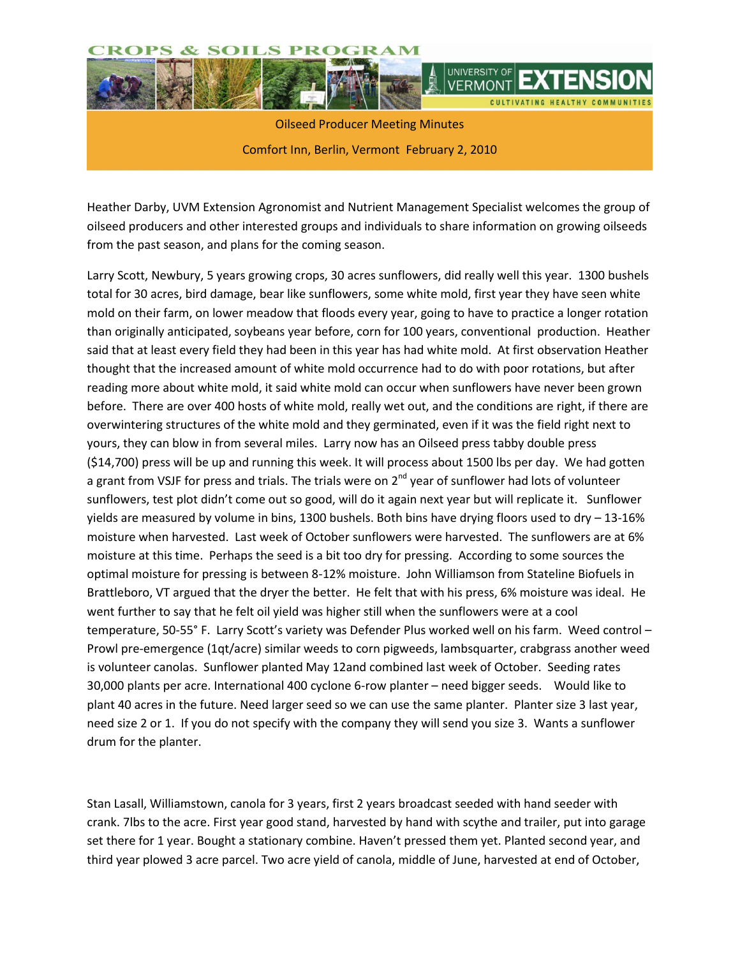

Oilseed Producer Meeting Minutes Comfort Inn, Berlin, Vermont February 2, 2010

Heather Darby, UVM Extension Agronomist and Nutrient Management Specialist welcomes the group of oilseed producers and other interested groups and individuals to share information on growing oilseeds from the past season, and plans for the coming season.

Larry Scott, Newbury, 5 years growing crops, 30 acres sunflowers, did really well this year. 1300 bushels total for 30 acres, bird damage, bear like sunflowers, some white mold, first year they have seen white mold on their farm, on lower meadow that floods every year, going to have to practice a longer rotation than originally anticipated, soybeans year before, corn for 100 years, conventional production. Heather said that at least every field they had been in this year has had white mold. At first observation Heather thought that the increased amount of white mold occurrence had to do with poor rotations, but after reading more about white mold, it said white mold can occur when sunflowers have never been grown before. There are over 400 hosts of white mold, really wet out, and the conditions are right, if there are overwintering structures of the white mold and they germinated, even if it was the field right next to yours, they can blow in from several miles. Larry now has an Oilseed press tabby double press (\$14,700) press will be up and running this week. It will process about 1500 lbs per day. We had gotten a grant from VSJF for press and trials. The trials were on 2<sup>nd</sup> year of sunflower had lots of volunteer sunflowers, test plot didn't come out so good, will do it again next year but will replicate it. Sunflower yields are measured by volume in bins, 1300 bushels. Both bins have drying floors used to dry – 13-16% moisture when harvested. Last week of October sunflowers were harvested. The sunflowers are at 6% moisture at this time. Perhaps the seed is a bit too dry for pressing. According to some sources the optimal moisture for pressing is between 8-12% moisture. John Williamson from Stateline Biofuels in Brattleboro, VT argued that the dryer the better. He felt that with his press, 6% moisture was ideal. He went further to say that he felt oil yield was higher still when the sunflowers were at a cool temperature, 50-55° F. Larry Scott's variety was Defender Plus worked well on his farm. Weed control – Prowl pre-emergence (1qt/acre) similar weeds to corn pigweeds, lambsquarter, crabgrass another weed is volunteer canolas. Sunflower planted May 12and combined last week of October. Seeding rates 30,000 plants per acre. International 400 cyclone 6-row planter – need bigger seeds. Would like to plant 40 acres in the future. Need larger seed so we can use the same planter. Planter size 3 last year, need size 2 or 1. If you do not specify with the company they will send you size 3. Wants a sunflower drum for the planter.

Stan Lasall, Williamstown, canola for 3 years, first 2 years broadcast seeded with hand seeder with crank. 7lbs to the acre. First year good stand, harvested by hand with scythe and trailer, put into garage set there for 1 year. Bought a stationary combine. Haven't pressed them yet. Planted second year, and third year plowed 3 acre parcel. Two acre yield of canola, middle of June, harvested at end of October,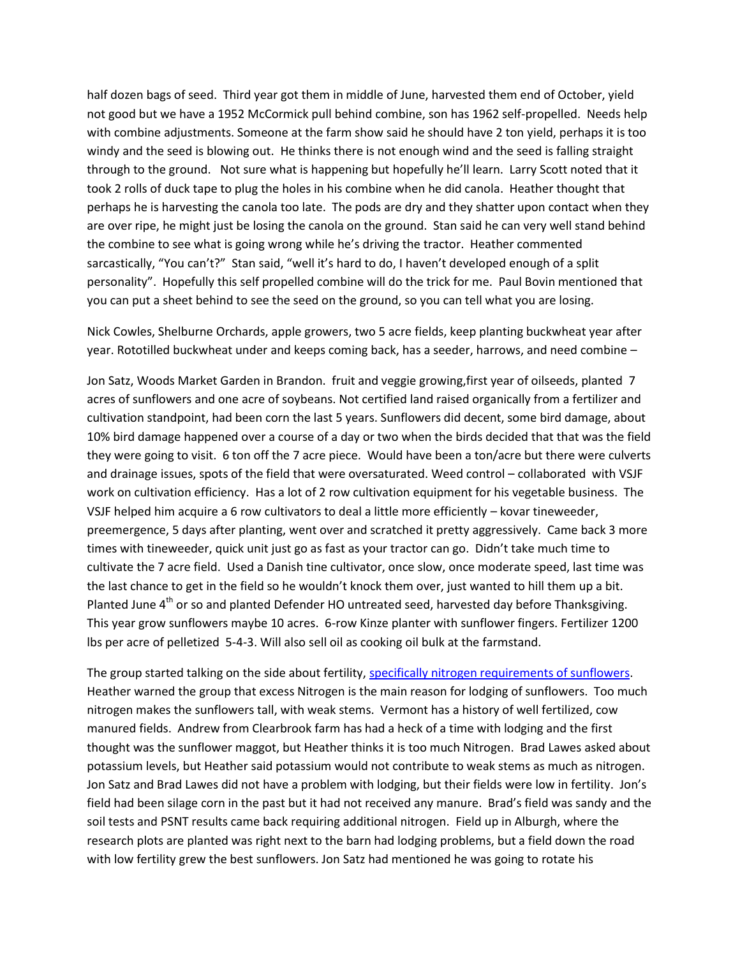half dozen bags of seed. Third year got them in middle of June, harvested them end of October, yield not good but we have a 1952 McCormick pull behind combine, son has 1962 self-propelled. Needs help with combine adjustments. Someone at the farm show said he should have 2 ton yield, perhaps it is too windy and the seed is blowing out. He thinks there is not enough wind and the seed is falling straight through to the ground. Not sure what is happening but hopefully he'll learn. Larry Scott noted that it took 2 rolls of duck tape to plug the holes in his combine when he did canola. Heather thought that perhaps he is harvesting the canola too late. The pods are dry and they shatter upon contact when they are over ripe, he might just be losing the canola on the ground. Stan said he can very well stand behind the combine to see what is going wrong while he's driving the tractor. Heather commented sarcastically, "You can't?" Stan said, "well it's hard to do, I haven't developed enough of a split personality". Hopefully this self propelled combine will do the trick for me. Paul Bovin mentioned that you can put a sheet behind to see the seed on the ground, so you can tell what you are losing.

Nick Cowles, Shelburne Orchards, apple growers, two 5 acre fields, keep planting buckwheat year after year. Rototilled buckwheat under and keeps coming back, has a seeder, harrows, and need combine –

Jon Satz, Woods Market Garden in Brandon. fruit and veggie growing,first year of oilseeds, planted 7 acres of sunflowers and one acre of soybeans. Not certified land raised organically from a fertilizer and cultivation standpoint, had been corn the last 5 years. Sunflowers did decent, some bird damage, about 10% bird damage happened over a course of a day or two when the birds decided that that was the field they were going to visit. 6 ton off the 7 acre piece. Would have been a ton/acre but there were culverts and drainage issues, spots of the field that were oversaturated. Weed control – collaborated with VSJF work on cultivation efficiency. Has a lot of 2 row cultivation equipment for his vegetable business. The VSJF helped him acquire a 6 row cultivators to deal a little more efficiently – kovar tineweeder, preemergence, 5 days after planting, went over and scratched it pretty aggressively. Came back 3 more times with tineweeder, quick unit just go as fast as your tractor can go. Didn't take much time to cultivate the 7 acre field. Used a Danish tine cultivator, once slow, once moderate speed, last time was the last chance to get in the field so he wouldn't knock them over, just wanted to hill them up a bit. Planted June  $4<sup>th</sup>$  or so and planted Defender HO untreated seed, harvested day before Thanksgiving. This year grow sunflowers maybe 10 acres. 6-row Kinze planter with sunflower fingers. Fertilizer 1200 lbs per acre of pelletized 5-4-3. Will also sell oil as cooking oil bulk at the farmstand.

The group started talking on the side about fertility[, specifically nitrogen requirements of sunflowers.](http://www.youtube.com/watch?v=SRlRew6lD_Y) Heather warned the group that excess Nitrogen is the main reason for lodging of sunflowers. Too much nitrogen makes the sunflowers tall, with weak stems. Vermont has a history of well fertilized, cow manured fields. Andrew from Clearbrook farm has had a heck of a time with lodging and the first thought was the sunflower maggot, but Heather thinks it is too much Nitrogen. Brad Lawes asked about potassium levels, but Heather said potassium would not contribute to weak stems as much as nitrogen. Jon Satz and Brad Lawes did not have a problem with lodging, but their fields were low in fertility. Jon's field had been silage corn in the past but it had not received any manure. Brad's field was sandy and the soil tests and PSNT results came back requiring additional nitrogen. Field up in Alburgh, where the research plots are planted was right next to the barn had lodging problems, but a field down the road with low fertility grew the best sunflowers. Jon Satz had mentioned he was going to rotate his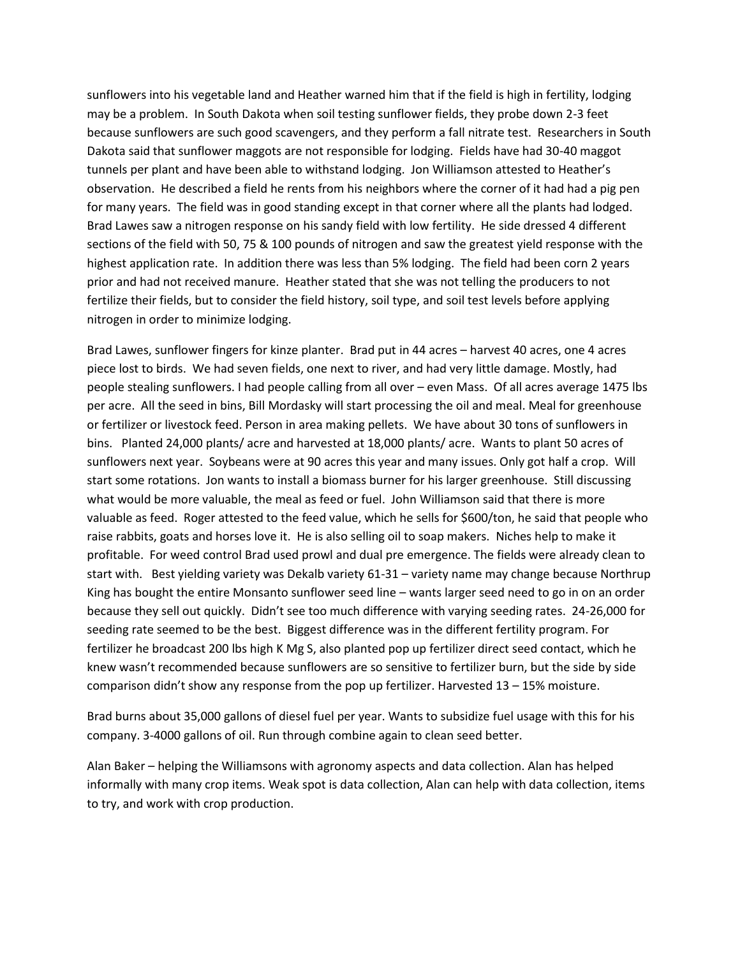sunflowers into his vegetable land and Heather warned him that if the field is high in fertility, lodging may be a problem. In South Dakota when soil testing sunflower fields, they probe down 2-3 feet because sunflowers are such good scavengers, and they perform a fall nitrate test. Researchers in South Dakota said that sunflower maggots are not responsible for lodging. Fields have had 30-40 maggot tunnels per plant and have been able to withstand lodging. Jon Williamson attested to Heather's observation. He described a field he rents from his neighbors where the corner of it had had a pig pen for many years. The field was in good standing except in that corner where all the plants had lodged. Brad Lawes saw a nitrogen response on his sandy field with low fertility. He side dressed 4 different sections of the field with 50, 75 & 100 pounds of nitrogen and saw the greatest yield response with the highest application rate. In addition there was less than 5% lodging. The field had been corn 2 years prior and had not received manure. Heather stated that she was not telling the producers to not fertilize their fields, but to consider the field history, soil type, and soil test levels before applying nitrogen in order to minimize lodging.

Brad Lawes, sunflower fingers for kinze planter. Brad put in 44 acres – harvest 40 acres, one 4 acres piece lost to birds. We had seven fields, one next to river, and had very little damage. Mostly, had people stealing sunflowers. I had people calling from all over – even Mass. Of all acres average 1475 lbs per acre. All the seed in bins, Bill Mordasky will start processing the oil and meal. Meal for greenhouse or fertilizer or livestock feed. Person in area making pellets. We have about 30 tons of sunflowers in bins. Planted 24,000 plants/ acre and harvested at 18,000 plants/ acre. Wants to plant 50 acres of sunflowers next year. Soybeans were at 90 acres this year and many issues. Only got half a crop. Will start some rotations. Jon wants to install a biomass burner for his larger greenhouse. Still discussing what would be more valuable, the meal as feed or fuel. John Williamson said that there is more valuable as feed. Roger attested to the feed value, which he sells for \$600/ton, he said that people who raise rabbits, goats and horses love it. He is also selling oil to soap makers. Niches help to make it profitable. For weed control Brad used prowl and dual pre emergence. The fields were already clean to start with. Best yielding variety was Dekalb variety 61-31 – variety name may change because Northrup King has bought the entire Monsanto sunflower seed line – wants larger seed need to go in on an order because they sell out quickly. Didn't see too much difference with varying seeding rates. 24-26,000 for seeding rate seemed to be the best. Biggest difference was in the different fertility program. For fertilizer he broadcast 200 lbs high K Mg S, also planted pop up fertilizer direct seed contact, which he knew wasn't recommended because sunflowers are so sensitive to fertilizer burn, but the side by side comparison didn't show any response from the pop up fertilizer. Harvested 13 – 15% moisture.

Brad burns about 35,000 gallons of diesel fuel per year. Wants to subsidize fuel usage with this for his company. 3-4000 gallons of oil. Run through combine again to clean seed better.

Alan Baker – helping the Williamsons with agronomy aspects and data collection. Alan has helped informally with many crop items. Weak spot is data collection, Alan can help with data collection, items to try, and work with crop production.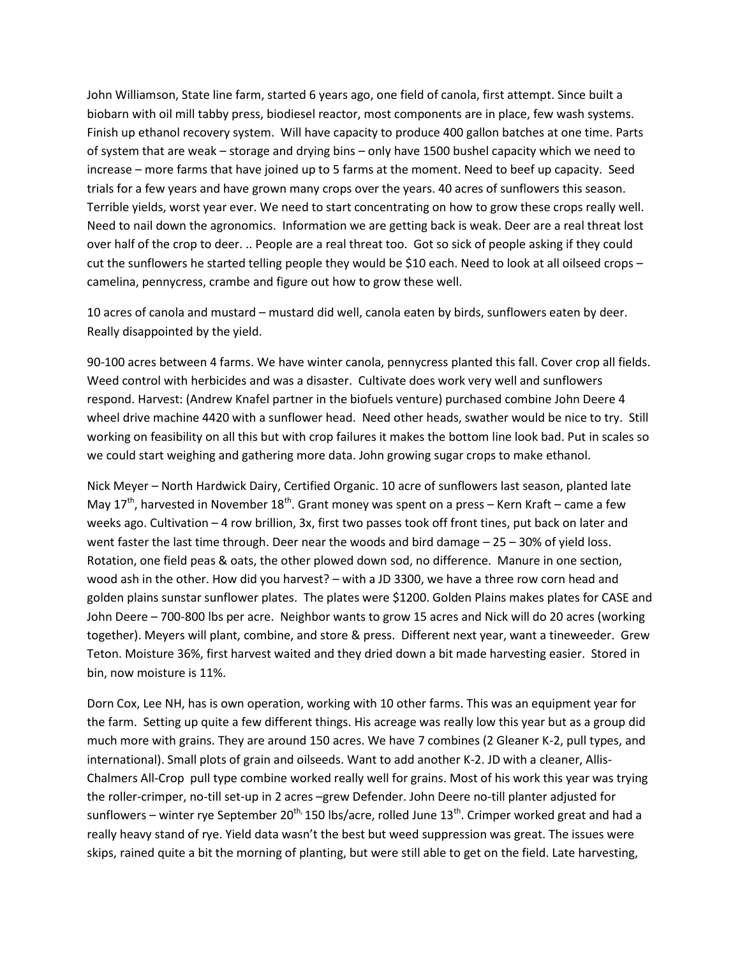John Williamson, State line farm, started 6 years ago, one field of canola, first attempt. Since built a biobarn with oil mill tabby press, biodiesel reactor, most components are in place, few wash systems. Finish up ethanol recovery system. Will have capacity to produce 400 gallon batches at one time. Parts of system that are weak – storage and drying bins – only have 1500 bushel capacity which we need to increase – more farms that have joined up to 5 farms at the moment. Need to beef up capacity. Seed trials for a few years and have grown many crops over the years. 40 acres of sunflowers this season. Terrible yields, worst year ever. We need to start concentrating on how to grow these crops really well. Need to nail down the agronomics. Information we are getting back is weak. Deer are a real threat lost over half of the crop to deer. .. People are a real threat too. Got so sick of people asking if they could cut the sunflowers he started telling people they would be \$10 each. Need to look at all oilseed crops – camelina, pennycress, crambe and figure out how to grow these well.

10 acres of canola and mustard – mustard did well, canola eaten by birds, sunflowers eaten by deer. Really disappointed by the yield.

90-100 acres between 4 farms. We have winter canola, pennycress planted this fall. Cover crop all fields. Weed control with herbicides and was a disaster. Cultivate does work very well and sunflowers respond. Harvest: (Andrew Knafel partner in the biofuels venture) purchased combine John Deere 4 wheel drive machine 4420 with a sunflower head. Need other heads, swather would be nice to try. Still working on feasibility on all this but with crop failures it makes the bottom line look bad. Put in scales so we could start weighing and gathering more data. John growing sugar crops to make ethanol.

Nick Meyer – North Hardwick Dairy, Certified Organic. 10 acre of sunflowers last season, planted late May  $17^{th}$ , harvested in November  $18^{th}$ . Grant money was spent on a press – Kern Kraft – came a few weeks ago. Cultivation – 4 row brillion, 3x, first two passes took off front tines, put back on later and went faster the last time through. Deer near the woods and bird damage – 25 – 30% of yield loss. Rotation, one field peas & oats, the other plowed down sod, no difference. Manure in one section, wood ash in the other. How did you harvest? – with a JD 3300, we have a three row corn head and golden plains sunstar sunflower plates. The plates were \$1200. Golden Plains makes plates for CASE and John Deere – 700-800 lbs per acre. Neighbor wants to grow 15 acres and Nick will do 20 acres (working together). Meyers will plant, combine, and store & press. Different next year, want a tineweeder. Grew Teton. Moisture 36%, first harvest waited and they dried down a bit made harvesting easier. Stored in bin, now moisture is 11%.

Dorn Cox, Lee NH, has is own operation, working with 10 other farms. This was an equipment year for the farm. Setting up quite a few different things. His acreage was really low this year but as a group did much more with grains. They are around 150 acres. We have 7 combines (2 Gleaner K-2, pull types, and international). Small plots of grain and oilseeds. Want to add another K-2. JD with a cleaner, Allis-Chalmers All-Crop pull type combine worked really well for grains. Most of his work this year was trying the roller-crimper, no-till set-up in 2 acres –grew Defender. John Deere no-till planter adjusted for sunflowers – winter rye September 20<sup>th,</sup> 150 lbs/acre, rolled June 13<sup>th</sup>. Crimper worked great and had a really heavy stand of rye. Yield data wasn't the best but weed suppression was great. The issues were skips, rained quite a bit the morning of planting, but were still able to get on the field. Late harvesting,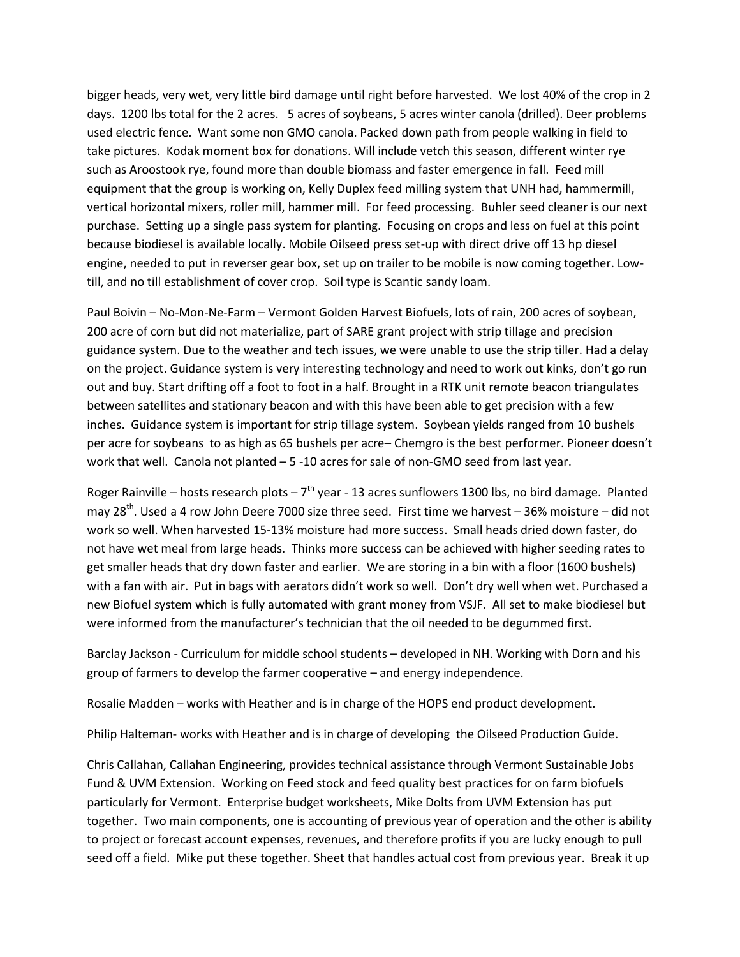bigger heads, very wet, very little bird damage until right before harvested. We lost 40% of the crop in 2 days. 1200 lbs total for the 2 acres. 5 acres of soybeans, 5 acres winter canola (drilled). Deer problems used electric fence. Want some non GMO canola. Packed down path from people walking in field to take pictures. Kodak moment box for donations. Will include vetch this season, different winter rye such as Aroostook rye, found more than double biomass and faster emergence in fall. Feed mill equipment that the group is working on, Kelly Duplex feed milling system that UNH had, hammermill, vertical horizontal mixers, roller mill, hammer mill. For feed processing. Buhler seed cleaner is our next purchase. Setting up a single pass system for planting. Focusing on crops and less on fuel at this point because biodiesel is available locally. Mobile Oilseed press set-up with direct drive off 13 hp diesel engine, needed to put in reverser gear box, set up on trailer to be mobile is now coming together. Lowtill, and no till establishment of cover crop. Soil type is Scantic sandy loam.

Paul Boivin – No-Mon-Ne-Farm – Vermont Golden Harvest Biofuels, lots of rain, 200 acres of soybean, 200 acre of corn but did not materialize, part of SARE grant project with strip tillage and precision guidance system. Due to the weather and tech issues, we were unable to use the strip tiller. Had a delay on the project. Guidance system is very interesting technology and need to work out kinks, don't go run out and buy. Start drifting off a foot to foot in a half. Brought in a RTK unit remote beacon triangulates between satellites and stationary beacon and with this have been able to get precision with a few inches. Guidance system is important for strip tillage system. Soybean yields ranged from 10 bushels per acre for soybeans to as high as 65 bushels per acre– Chemgro is the best performer. Pioneer doesn't work that well. Canola not planted – 5 -10 acres for sale of non-GMO seed from last year.

Roger Rainville – hosts research plots –  $7<sup>th</sup>$  year - 13 acres sunflowers 1300 lbs, no bird damage. Planted may 28<sup>th</sup>. Used a 4 row John Deere 7000 size three seed. First time we harvest – 36% moisture – did not work so well. When harvested 15-13% moisture had more success. Small heads dried down faster, do not have wet meal from large heads. Thinks more success can be achieved with higher seeding rates to get smaller heads that dry down faster and earlier. We are storing in a bin with a floor (1600 bushels) with a fan with air. Put in bags with aerators didn't work so well. Don't dry well when wet. Purchased a new Biofuel system which is fully automated with grant money from VSJF. All set to make biodiesel but were informed from the manufacturer's technician that the oil needed to be degummed first.

Barclay Jackson - Curriculum for middle school students – developed in NH. Working with Dorn and his group of farmers to develop the farmer cooperative – and energy independence.

Rosalie Madden – works with Heather and is in charge of the HOPS end product development.

Philip Halteman- works with Heather and is in charge of developing the Oilseed Production Guide.

Chris Callahan, Callahan Engineering, provides technical assistance through Vermont Sustainable Jobs Fund & UVM Extension. Working on Feed stock and feed quality best practices for on farm biofuels particularly for Vermont. Enterprise budget worksheets, Mike Dolts from UVM Extension has put together. Two main components, one is accounting of previous year of operation and the other is ability to project or forecast account expenses, revenues, and therefore profits if you are lucky enough to pull seed off a field. Mike put these together. Sheet that handles actual cost from previous year. Break it up